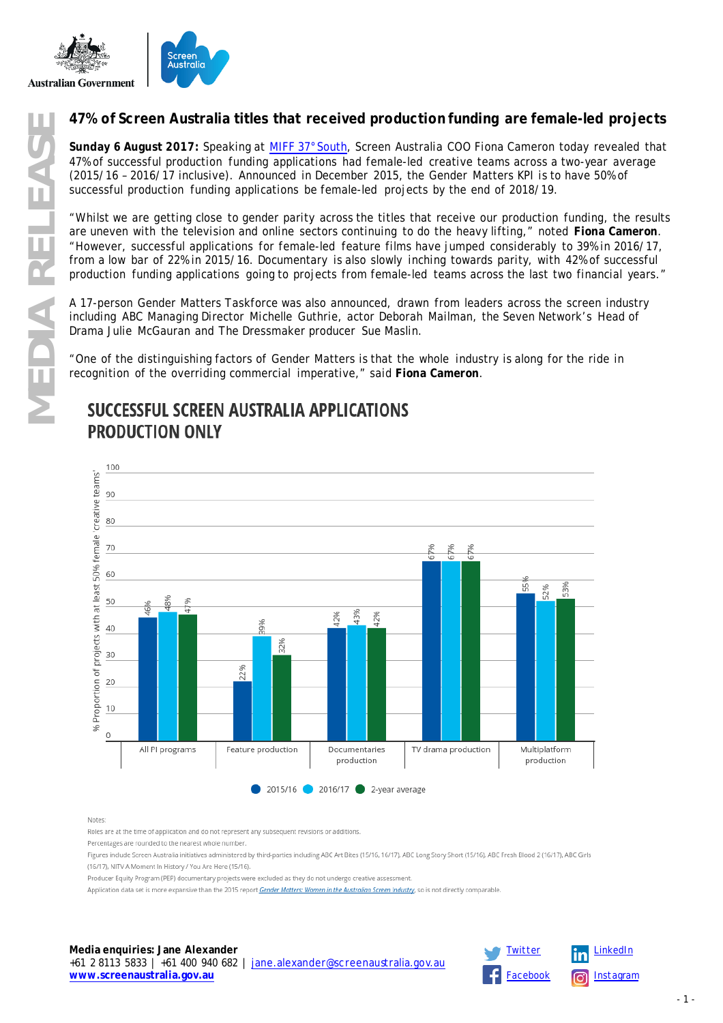

**Sunday 6 August 2017:** Speaking at [MIFF 37°South,](http://miffindustry.com/) Screen Australia COO Fiona Cameron today revealed that 47% of successful production funding applications had female-led creative teams across a two-year average (2015/16 – 2016/17 inclusive). Announced in December 2015, the Gender Matters KPI is to have 50% of successful production funding applications be female-led projects by the end of 2018/19.

**MP% of Screen Australia titles that received production funding are female-led projects**<br> **MPS** of successful production funding applications had female-led creative teams across at wo-year average<br> **MPS** of Successful pr "Whilst we are getting close to gender parity across the titles that receive our production funding, the results are uneven with the television and online sectors continuing to do the heavy lifting," noted **Fiona Cameron**. "However, successful applications for female-led feature films have jumped considerably to 39% in 2016/17, from a low bar of 22% in 2015/16. Documentary is also slowly inching towards parity, with 42% of successful production funding applications going to projects from female-led teams across the last two financial years."

A 17-person Gender Matters Taskforce was also announced, drawn from leaders across the screen industry including ABC Managing Director Michelle Guthrie, actor Deborah Mailman, the Seven Network's Head of Drama Julie McGauran and *The Dressmaker* producer Sue Maslin.

"One of the distinguishing factors of Gender Matters is that the whole industry is along for the ride in recognition of the overriding commercial imperative," said **Fiona Cameron**.

# **PRODUCTION ONLY**



Notes:

Roles are at the time of application and do not represent any subsequent revisions or additions

Percentages are rounded to the nearest whole number.

Figures include Screen Australia initiatives administered by third-parties including ABC Art Bites (15/16, 16/17), ABC Long Story Short (15/16), ABC Fresh Blood 2 (16/17), ABC Girls (16/17), NITV A Moment In History / You Are Here (15/16).

Producer Equity Program (PEP) documentary projects were excluded as they do not undergo creative assessment.

Application data set is more expansive than the 2015 report Gender Matters: Women in the Australian Screen Industry, so is not directly comparable

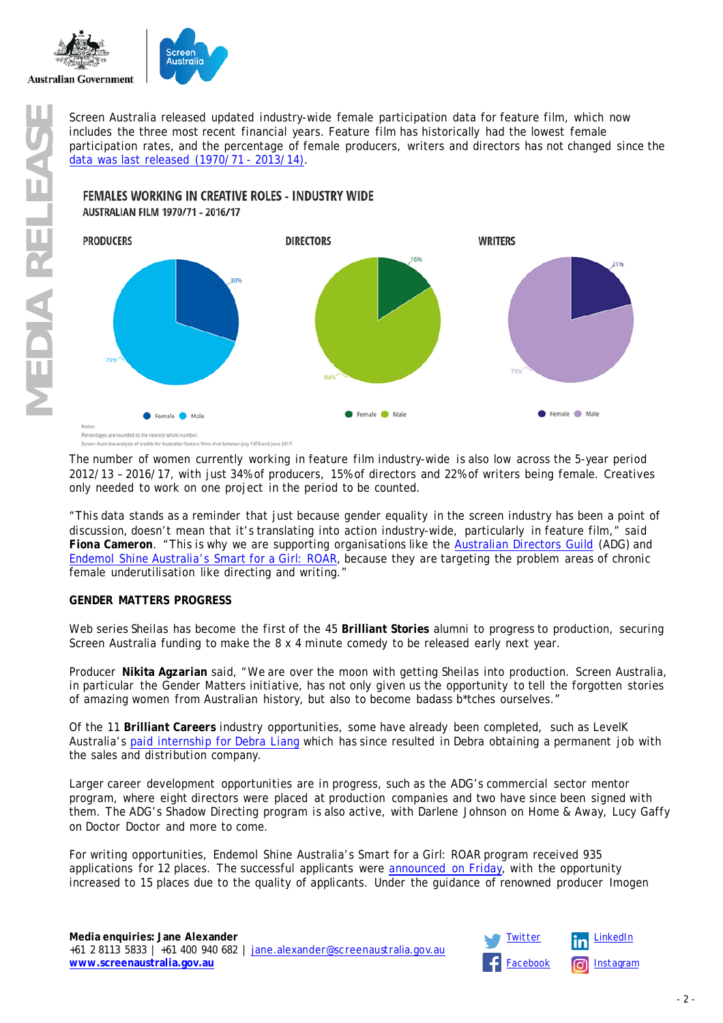

includes the three most recent financial years. Feature film has historically had the lowest female participation rates, and the percentage of female producers, writers and directors has not changed since the [data was last released](https://www.screenaustralia.gov.au/fact-finders/infographics/women-working-in-creative-roles) (1970/71 - 2013/14).



The number of women currently working in feature film industry-wide is also low across the 5-year period 2012/13 – 2016/17, with just 34% of producers, 15% of directors and 22% of writers being female. Creatives only needed to work on one project in the period to be counted.

"This data stands as a reminder that just because gender equality in the screen industry has been a point of discussion, doesn't mean that it's translating into action industry-wide, particularly in feature film," said **Fiona Cameron**. "This is why we are supporting organisations like the [Australian Directors Guild](https://www.screenaustralia.gov.au/sa/media-centre/news/2017/06-28-lucy-gaffy-to-shadow-direct-doctor-doctor) (ADG) and Endemol [Shine Australia's Smart for a Girl: ROAR,](https://www.screenaustralia.gov.au/sa/media-centre/news/2017/08-04-smart-for-a-girl-roar) because they are targeting the problem areas of chronic female underutilisation like directing and writing."

## **GENDER MATTERS PROGRESS**

Web series *Sheilas* has become the first of the 45 **Brilliant Stories** alumni to progress to production, securing Screen Australia funding to make the 8 x 4 minute comedy to be released early next year.

Producer **Nikita Agzarian** said, "We are over the moon with getting *Sheilas* into production. Screen Australia, in particular the Gender Matters initiative, has not only given us the opportunity to tell the forgotten stories of amazing women from Australian history, but also to become badass b\*tches ourselves."

Of the 11 **Brilliant Careers** industry opportunities, some have already been completed, such as LevelK Australia's [paid internship for Debra Liang](https://www.levelk.dk/news/press-release-levelk-receives-gender-matters-funding/399) which has since resulted in Debra obtaining a permanent job with the sales and distribution company.

Larger career development opportunities are in progress, such as the ADG's commercial sector mentor program, where eight directors were placed at production companies and two have since been signed with them. The ADG's Shadow Directing program is also active, with Darlene Johnson on *Home & Away*, Lucy Gaffy on *Doctor Doctor* and more to come.

For writing opportunities, Endemol Shine Australia's Smart for a Girl: ROAR program received 935 applications for 12 places. The successful applicants were [announced on Friday,](https://www.screenaustralia.gov.au/sa/media-centre/news/2017/08-04-smart-for-a-girl-roar) with the opportunity increased to 15 places due to the quality of applicants. Under the guidance of renowned producer Imogen

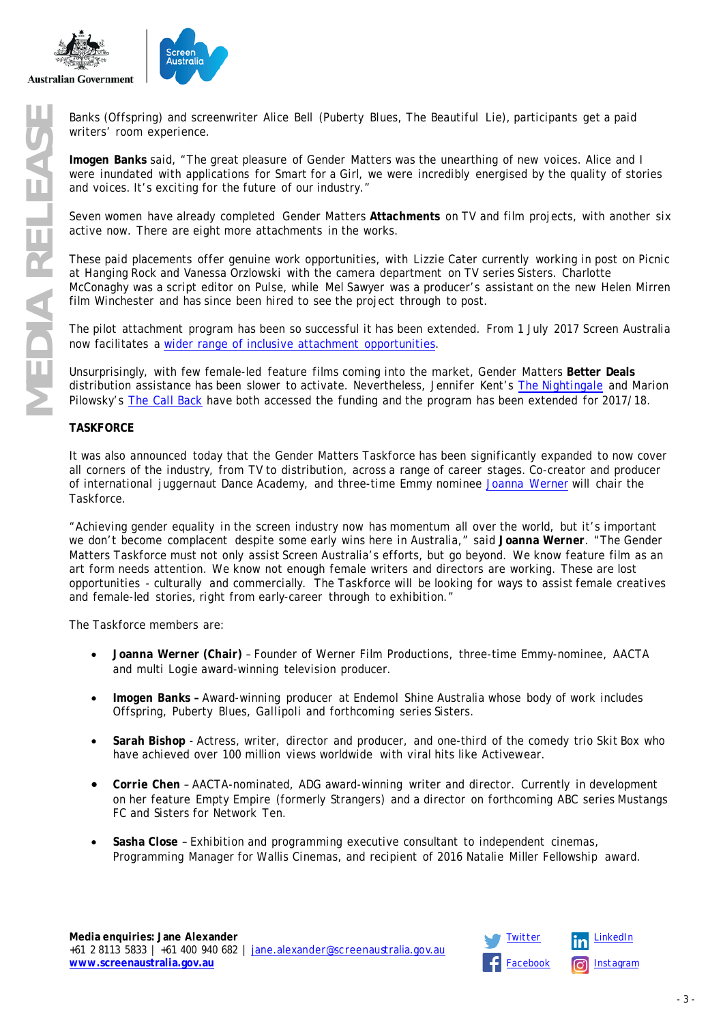



writers' room experience.

**Imogen Banks** said, "The great pleasure of Gender Matters was the unearthing of new voices. Alice and I were inundated with applications for Smart for a Girl, we were incredibly energised by the quality of stories and voices. It's exciting for the future of our industry."

Seven women have already completed Gender Matters **Attachments** on TV and film projects, with another six active now. There are eight more attachments in the works.

**MEDIA RELEAS (***Offspring***)** and screenwriter Alice Bell (*Puberty Blues, The Beautiful Lie*), participants get a paid writers' room experience.<br>
Imagen Banks said, "The great pleasure of Gender Matters was the unearthing These paid placements offer genuine work opportunities, with Lizzie Cater currently working in post on *Picnic at Hanging Rock* and Vanessa Orzlowski with the camera department on TV series *Sisters*. Charlotte McConaghy was a script editor on *Pulse*, while Mel Sawyer was a producer's assistant on the new Helen Mirren film *Winchester* and has since been hired to see the project through to post.

The pilot attachment program has been so successful it has been extended. From 1 July 2017 Screen Australia now facilitates a [wider range of inclusive attachment opportunities.](https://www.screenaustralia.gov.au/sa/screen-news/2017/07-26-festival-triennial-funding-and-name-changes)

Unsurprisingly, with few female-led feature films coming into the market, Gender Matters **Better Deals** distribution assistance has been slower to activate. Nevertheless, Jennifer Kent's *[The Nightingale](https://www.screenaustralia.gov.au/sa/media-centre/news/2017/03-17-the-nightingale)* and Marion Pilowsky's *[The Call Back](https://www.screenaustralia.gov.au/sa/media-centre/news/2017/07-25-the-call-back)* have both accessed the funding and the program has been extended for 2017/18.

#### **TASKFORCE**

It was also announced today that the Gender Matters Taskforce has been significantly expanded to now cover all corners of the industry, from TV to distribution, across a range of career stages. Co-creator and producer of international juggernaut *Dance Academy,* and three-time Emmy nominee [Joanna Werner](https://www.screenaustralia.gov.au/the-screen-guide/p/joanna-werner/23353?stxt=joanna%20werner%23ccTall) will chair the Taskforce.

"Achieving gender equality in the screen industry now has momentum all over the world, but it's important we don't become complacent despite some early wins here in Australia," said **Joanna Werner**. "The Gender Matters Taskforce must not only assist Screen Australia's efforts, but go beyond. We know feature film as an art form needs attention. We know not enough female writers and directors are working. These are lost opportunities - culturally and commercially. The Taskforce will be looking for ways to assist female creatives and female-led stories, right from early-career through to exhibition."

The Taskforce members are:

- **Joanna Werner (Chair)** Founder of Werner Film Productions, three-time Emmy-nominee, AACTA and multi Logie award-winning television producer.
- **Imogen Banks –** Award-winning producer at Endemol Shine Australia whose body of work includes *Offspring*, *Puberty Blues*, *Gallipoli* and forthcoming series *Sisters*.
- **Sarah Bishop** Actress, writer, director and producer, and one-third of the comedy trio Skit Box who have achieved over 100 million views worldwide with viral hits like *Activewear.*
- **Corrie Chen** AACTA-nominated, ADG award-winning writer and director. Currently in development on her feature *Empty Empire* (formerly *Strangers*) and a director on forthcoming ABC series *Mustangs FC* and *Sisters* for Network Ten.
- **Sasha Close** Exhibition and programming executive consultant to independent cinemas, Programming Manager for Wallis Cinemas, and recipient of 2016 Natalie Miller Fellowship award.

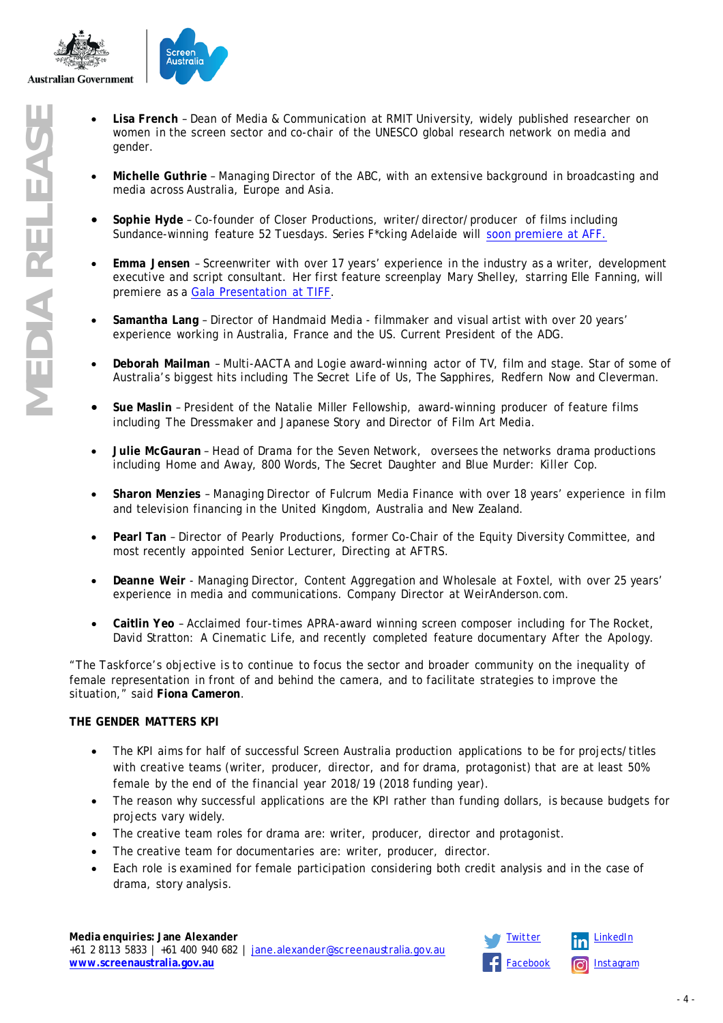

- **MEDIA RELEASE French Dean of Media & Communication at RMIT University, widely published researcher on<br>
symment in the screen sector and co-chair of the UNESCO global research network on media and<br>
<b>Michelle Guthrie Ma** women in the screen sector and co-chair of the UNESCO global research network on media and gender.
	- **Michelle Guthrie**  Managing Director of the ABC, with an extensive background in broadcasting and media across Australia, Europe and Asia.
	- **Sophie Hyde** Co-founder of Closer Productions, writer/director/producer of films including Sundance-winning feature *52 Tuesdays. S*eries *F\*cking Adelaide* will [soon premiere at AFF.](https://adelaidefilmfestival.org/titles/105943)
	- **Emma Jensen** Screenwriter with over 17 years' experience in the industry as a writer, development executive and script consultant. Her first feature screenplay *Mary Shelley*, starring Elle Fanning, will premiere as a [Gala Presentation at TIFF.](http://www.tiff.net/tiff/film.html?v=mary-shelley)
	- **Samantha Lang** Director of Handmaid Media filmmaker and visual artist with over 20 years' experience working in Australia, France and the US. Current President of the ADG.
	- **Deborah Mailman** Multi-AACTA and Logie award-winning actor of TV, film and stage. Star of some of Australia's biggest hits including *The Secret Life of Us*, *The Sapphires*, *Redfern Now* and *Cleverman.*
	- **Sue Maslin** President of the Natalie Miller Fellowship, award-winning producer of feature films including *The Dressmaker* and *Japanese Story* and Director of Film Art Media.
	- **Julie McGauran** Head of Drama for the Seven Network, oversees the networks drama productions including *Home and Away*, *800 Words*, *The Secret Daughter* and *Blue Murder: Killer Cop*.
	- **Sharon Menzies** Managing Director of Fulcrum Media Finance with over 18 years' experience in film and television financing in the United Kingdom, Australia and New Zealand.
	- **Pearl Tan** Director of Pearly Productions, former Co-Chair of the Equity Diversity Committee, and most recently appointed Senior Lecturer, Directing at AFTRS.
	- **Deanne Weir** Managing Director, Content Aggregation and Wholesale at Foxtel, with over 25 years' experience in media and communications. Company Director at WeirAnderson.com.
	- **Caitlin Yeo** Acclaimed four-times APRA-award winning screen composer including for *The Rocket*, *David Stratton: A Cinematic Life*, and recently completed feature documentary *After the Apology.*

"The Taskforce's objective is to continue to focus the sector and broader community on the inequality of female representation in front of and behind the camera, and to facilitate strategies to improve the situation," said **Fiona Cameron**.

## **THE GENDER MATTERS KPI**

- The KPI aims for half of successful Screen Australia production applications to be for projects/titles with creative teams (writer, producer, director, and for drama, protagonist) that are at least 50% female by the end of the financial year 2018/19 (2018 funding year).
- The reason why successful applications are the KPI rather than funding dollars, is because budgets for projects vary widely.
- The creative team roles for drama are: writer, producer, director and protagonist.
- The creative team for documentaries are: writer, producer, director.
- Each role is examined for female participation considering both credit analysis and in the case of drama, story analysis.